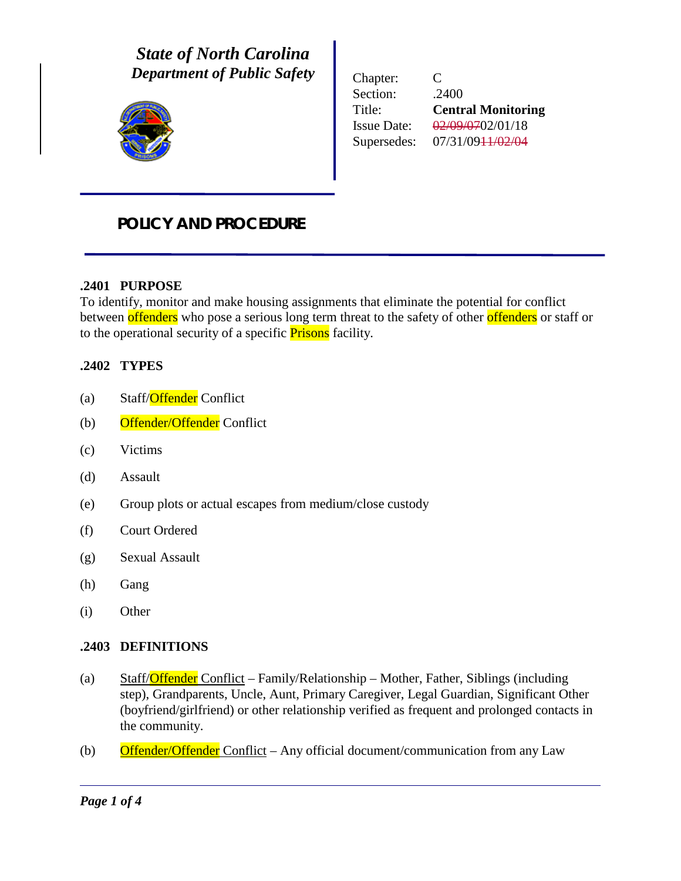*State of North Carolina Department of Public Safety*



Chapter: C Section: .2400 Title: **Central Monitoring** Issue Date: 02/09/0702/01/18 Supersedes: 07/31/0911/02/04

# *POLICY AND PROCEDURE*

# **.2401 PURPOSE**

To identify, monitor and make housing assignments that eliminate the potential for conflict between offenders who pose a serious long term threat to the safety of other offenders or staff or to the operational security of a specific **Prisons** facility.

### **.2402 TYPES**

- (a) Staff/Offender Conflict
- (b) Offender/Offender Conflict
- (c) Victims
- (d) Assault
- (e) Group plots or actual escapes from medium/close custody
- (f) Court Ordered
- (g) Sexual Assault
- (h) Gang
- (i) Other

#### **.2403 DEFINITIONS**

- (a) Staff/Offender Conflict Family/Relationship Mother, Father, Siblings (including step), Grandparents, Uncle, Aunt, Primary Caregiver, Legal Guardian, Significant Other (boyfriend/girlfriend) or other relationship verified as frequent and prolonged contacts in the community.
- (b) Offender/Offender Conflict Any official document/communication from any Law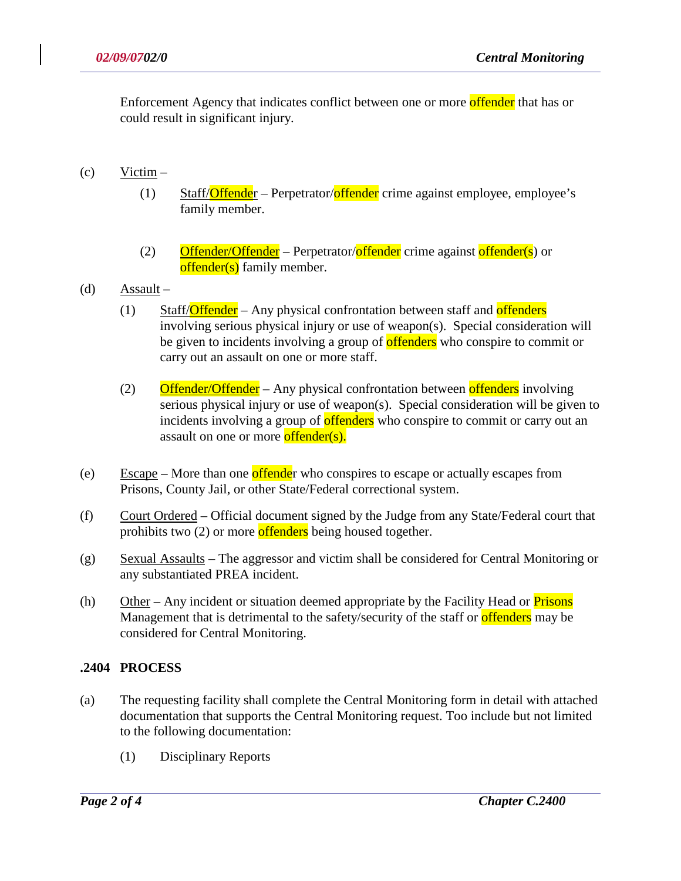Enforcement Agency that indicates conflict between one or more offender that has or could result in significant injury.

- (c) Victim
	- (1) Staff/**Offende**r Perpetrator/offender crime against employee, employee's family member.
	- (2) Offender/Offender Perpetrator/offender crime against offender(s) or offender(s) family member.
- (d) Assault
	- (1) Staff/Offender Any physical confrontation between staff and offenders involving serious physical injury or use of weapon(s). Special consideration will be given to incidents involving a group of offenders who conspire to commit or carry out an assault on one or more staff.
	- (2) Offender/Offender Any physical confrontation between offenders involving serious physical injury or use of weapon(s). Special consideration will be given to incidents involving a group of **offenders** who conspire to commit or carry out an assault on one or more **offender(s)**.
- (e) Escape More than one **offende**r who conspires to escape or actually escapes from Prisons, County Jail, or other State/Federal correctional system.
- (f) Court Ordered Official document signed by the Judge from any State/Federal court that prohibits two (2) or more offenders being housed together.
- (g) Sexual Assaults The aggressor and victim shall be considered for Central Monitoring or any substantiated PREA incident.
- (h) Other Any incident or situation deemed appropriate by the Facility Head or  $Prisons$ Management that is detrimental to the safety/security of the staff or **offenders** may be considered for Central Monitoring.

# **.2404 PROCESS**

- (a) The requesting facility shall complete the Central Monitoring form in detail with attached documentation that supports the Central Monitoring request. Too include but not limited to the following documentation:
	- (1) Disciplinary Reports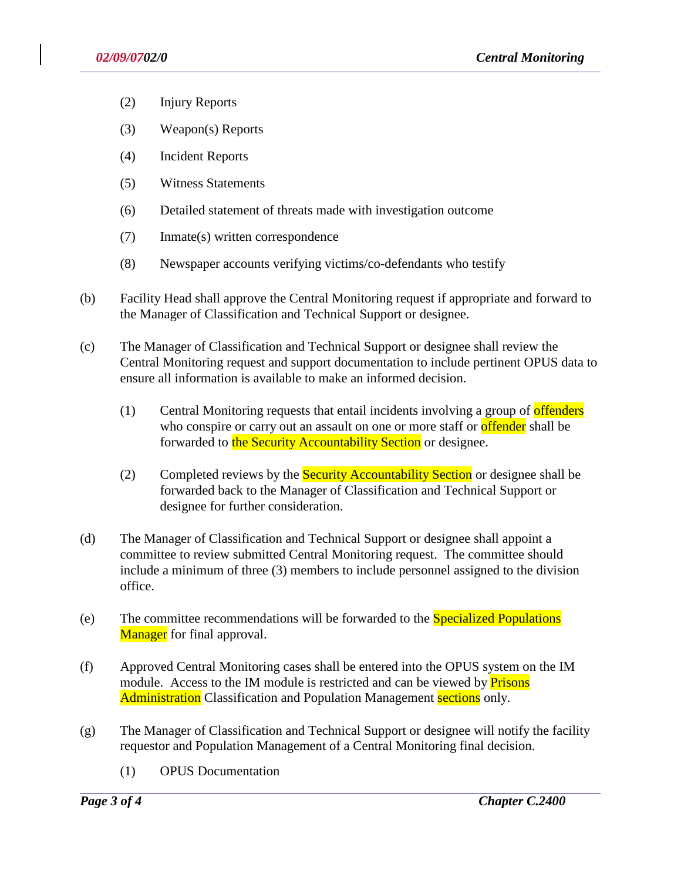- (2) Injury Reports
- (3) Weapon(s) Reports
- (4) Incident Reports
- (5) Witness Statements
- (6) Detailed statement of threats made with investigation outcome
- (7) Inmate(s) written correspondence
- (8) Newspaper accounts verifying victims/co-defendants who testify
- (b) Facility Head shall approve the Central Monitoring request if appropriate and forward to the Manager of Classification and Technical Support or designee.
- (c) The Manager of Classification and Technical Support or designee shall review the Central Monitoring request and support documentation to include pertinent OPUS data to ensure all information is available to make an informed decision.
	- (1) Central Monitoring requests that entail incidents involving a group of offenders who conspire or carry out an assault on one or more staff or **offender** shall be forwarded to the Security Accountability Section or designee.
	- (2) Completed reviews by the **Security Accountability Section** or designee shall be forwarded back to the Manager of Classification and Technical Support or designee for further consideration.
- (d) The Manager of Classification and Technical Support or designee shall appoint a committee to review submitted Central Monitoring request. The committee should include a minimum of three (3) members to include personnel assigned to the division office.
- (e) The committee recommendations will be forwarded to the Specialized Populations Manager for final approval.
- (f) Approved Central Monitoring cases shall be entered into the OPUS system on the IM module. Access to the IM module is restricted and can be viewed by **Prisons** Administration Classification and Population Management sections only.
- (g) The Manager of Classification and Technical Support or designee will notify the facility requestor and Population Management of a Central Monitoring final decision.
	- (1) OPUS Documentation